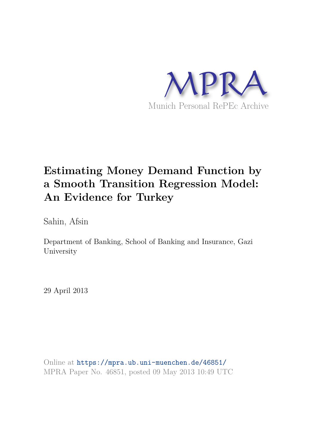

# **Estimating Money Demand Function by a Smooth Transition Regression Model: An Evidence for Turkey**

Sahin, Afsin

Department of Banking, School of Banking and Insurance, Gazi University

29 April 2013

Online at https://mpra.ub.uni-muenchen.de/46851/ MPRA Paper No. 46851, posted 09 May 2013 10:49 UTC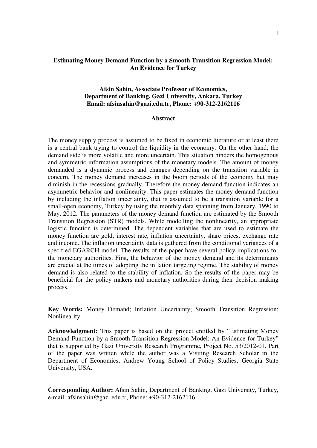# **Estimating Money Demand Function by a Smooth Transition Regression Model: An Evidence for Turkey**

## **Afsin Sahin, Associate Professor of Economics, Department of Banking, Gazi University, Ankara, Turkey Email: [afsinsahin@gazi.edu.tr,](mailto:afsinsahin@gazi.edu.tr) Phone: +90-312-2162116**

## **Abstract**

The money supply process is assumed to be fixed in economic literature or at least there is a central bank trying to control the liquidity in the economy. On the other hand, the demand side is more volatile and more uncertain. This situation hinders the homogenous and symmetric information assumptions of the monetary models. The amount of money demanded is a dynamic process and changes depending on the transition variable in concern. The money demand increases in the boom periods of the economy but may diminish in the recessions gradually. Therefore the money demand function indicates an asymmetric behavior and nonlinearity. This paper estimates the money demand function by including the inflation uncertainty, that is assumed to be a transition variable for a small-open economy, Turkey by using the monthly data spanning from January, 1990 to May, 2012. The parameters of the money demand function are estimated by the Smooth Transition Regression (STR) models. While modelling the nonlinearity, an appropriate logistic function is determined. The dependent variables that are used to estimate the money function are gold, interest rate, inflation uncertainty, share prices, exchange rate and income. The inflation uncertainty data is gathered from the conditional variances of a specified EGARCH model. The results of the paper have several policy implications for the monetary authorities. First, the behavior of the money demand and its determinants are crucial at the times of adopting the inflation targeting regime. The stability of money demand is also related to the stability of inflation. So the results of the paper may be beneficial for the policy makers and monetary authorities during their decision making process.

**Key Words:** Money Demand; Inflation Uncertainty; Smooth Transition Regression; Nonlinearity.

**Acknowledgment:** This paper is based on the project entitled by "Estimating Money Demand Function by a Smooth Transition Regression Model: An Evidence for Turkey" that is supported by Gazi University Research Programme, Project No. 53/2012-01. Part of the paper was written while the author was a Visiting Research Scholar in the Department of Economics, Andrew Young School of Policy Studies, Georgia State University, USA.

**Corresponding Author:** Afsin Sahin, Department of Banking, Gazi University, Turkey, e-mail: [afsinsahin@gazi.edu.tr,](mailto:afsinsahin@gazi.edu.tr) Phone: +90-312-2162116.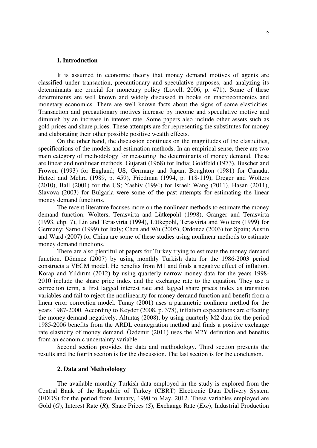#### **I. Introduction**

It is assumed in economic theory that money demand motives of agents are classified under transaction, precautionary and speculative purposes, and analyzing its determinants are crucial for monetary policy (Lovell, 2006, p. 471). Some of these determinants are well known and widely discussed in books on macroeconomics and monetary economics. There are well known facts about the signs of some elasticities. Transaction and precautionary motives increase by income and speculative motive and diminish by an increase in interest rate. Some papers also include other assets such as gold prices and share prices. These attempts are for representing the substitutes for money and elaborating their other possible positive wealth effects.

On the other hand, the discussion continues on the magnitudes of the elasticities, specifications of the models and estimation methods. In an empirical sense, there are two main category of methodology for measuring the determinants of money demand. These are linear and nonlinear methods. Gujarati (1968) for India; Goldfeld (1973), Buscher and Frowen (1993) for England; US, Germany and Japan; Boughton (1981) for Canada; Hetzel and Mehra (1989, p. 459), Friedman (1994, p. 118-119), Dreger and Wolters (2010), Ball (2001) for the US; Yashiv (1994) for Israel; Wang (2011), Hasan (2011), Slavova (2003) for Bulgaria were some of the past attempts for estimating the linear money demand functions.

The recent literature focuses more on the nonlinear methods to estimate the money demand function. Wolters, Terasvirta and Lütkepohl (1998), Granger and Terasvirta (1993, chp. 7), Lin and Terasvirta (1994), Lütkepohl, Terasvirta and Wolters (1999) for Germany; Sarno (1999) for Italy; Chen and Wu (2005), Ordonez (2003) for Spain; Austin and Ward (2007) for China are some of these studies using nonlinear methods to estimate money demand functions.

There are also plentiful of papers for Turkey trying to estimate the money demand function. Dönmez (2007) by using monthly Turkish data for the 1986-2003 period constructs a VECM model. He benefits from M1 and finds a negative effect of inflation. Korap and Yıldırım (2012) by using quarterly narrow money data for the years 1998- 2010 include the share price index and the exchange rate to the equation. They use a correction term, a first lagged interest rate and lagged share prices index as transition variables and fail to reject the nonlinearity for money demand function and benefit from a linear error correction model. Tunay (2001) uses a parametric nonlinear method for the years 1987-2000. According to Keyder (2008, p. 378), inflation expectations are effecting the money demand negatively. Altıntaş (2008), by using quarterly M2 data for the period 1985-2006 benefits from the ARDL cointegration method and finds a positive exchange rate elasticity of money demand. Özdemir (2011) uses the M2Y definition and benefits from an economic uncertainty variable.

Second section provides the data and methodology. Third section presents the results and the fourth section is for the discussion. The last section is for the conclusion.

#### **2. Data and Methodology**

The available monthly Turkish data employed in the study is explored from the Central Bank of the Republic of Turkey (CBRT) Electronic Data Delivery System (EDDS) for the period from January, 1990 to May, 2012. These variables employed are Gold (*G*), Interest Rate (*R*), Share Prices (*S*), Exchange Rate (*Exc*), Industrial Production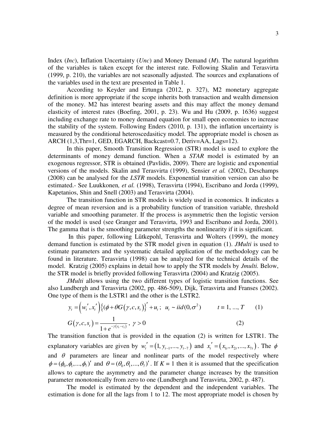Index (*Inc*), Inflation Uncertainty (*Unc*) and Money Demand (*M*). The natural logarithm of the variables is taken except for the interest rate. Following Skalin and Terasvirta (1999, p. 210), the variables are not seasonally adjusted. The sources and explanations of the variables used in the text are presented in Table 1.

According to Keyder and Ertunga (2012, p. 327), M2 monetary aggregate definition is more appropriate if the scope inherits both transaction and wealth dimension of the money. M2 has interest bearing assets and this may affect the money demand elasticity of interest rates (Boefing, 2001, p. 23). Wu and Hu (2009, p. 1636) suggest including exchange rate to money demand equation for small open economies to increase the stability of the system. Following Enders (2010, p. 131), the inflation uncertainty is measured by the conditional heteroscedasiticy model. The appropriate model is chosen as ARCH (1,3,Thr=1, GED, EGARCH, Backcast=0.7, Deriv=AA, Lags=12).

 In this paper, Smooth Transition Regression (STR) model is used to explore the determinants of money demand function. When a *STAR* model is estimated by an exogenous regressor, STR is obtained (Pavlidis, 2009). There are logistic and exponential versions of the models. Skalin and Terasvirta (1999), Sensier *et al.* (2002), Deschamps (2008) can be analysed for the *LSTR* models. Exponential transition version can also be estimated.- See Luukkonen*, et al.* (1998), Terasvirta (1994), Escribano and Jorda (1999), Kapetanios, Shin and Snell (2003) and Terasvirta (2004).

 The transition function in STR models is widely used in economics. It indicates a degree of mean reversion and is a probability function of transition variable, threshold variable and smoothing parameter. If the process is asymmetric then the logistic version of the model is used (see Granger and Terasvirta, 1993 and Escribano and Jorda, 2001). The gamma that is the smoothing parameter strengths the nonlinearity if it is significant.

 In this paper, following Lütkepohl, Terasvirta and Wolters (1999), the money demand function is estimated by the STR model given in equation (1). *JMulti* is used to estimate parameters and the systematic detailed application of the methodology can be found in literature. Terasvirta (1998) can be analyzed for the technical details of the model. Kratzig (2005) explains in detail how to apply the STR models by *Jmulti.* Below, the STR model is briefly provided following Terasvirta (2004) and Kratzig (2005).

*JMulti* allows using the two different types of logistic transition functions. See also Lundbergh and Terasvirta (2002, pp. 486-509), Dijk, Terasvirta and Franses (2002). One type of them is the LSTR1 and the other is the LSTR2.

$$
y_{t} = (w_{t}', x_{t}') \{ (\phi + \theta G(\gamma, c, s_{t}) \}' + u_{t}; u_{t} \sim iid(0, \sigma^{2}) \qquad t = 1, ..., T \qquad (1)
$$
  

$$
G(\gamma, c, s_{t}) = \frac{1}{1 + e^{-\gamma(s_{t} - c_{t})}}, \gamma > 0 \qquad (2)
$$

The transition function that is provided in the equation (2) is written for LSTR1. The explanatory variables are given by  $w'_i = (1, y_{i-1},..., y_{i-7})$  and  $x'_i = (x_{i}, x_{i},..., x_{i},)$ . The  $\phi$ and  $\theta$  parameters are linear and nonlinear parts of the model respectively where  $\phi = (\phi_0, \phi_1, ..., \phi_n)'$  and  $\theta = (\theta_0, \theta_1, ..., \theta_n)'$ . If  $K = 1$  then it is assumed that the specification allows to capture the asymmetry and the parameter change increases by the transition parameter monotonically from zero to one (Lundbergh and Terasvirta, 2002, p. 487).

The model is estimated by the dependent and the independent variables. The estimation is done for all the lags from 1 to 12. The most appropriate model is chosen by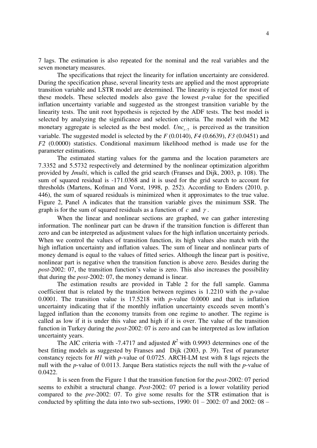7 lags. The estimation is also repeated for the nominal and the real variables and the seven monetary measures.

The specifications that reject the linearity for inflation uncertainty are considered. During the specification phase, several linearity tests are applied and the most appropriate transition variable and LSTR model are determined. The linearity is rejected for most of these models. These selected models also gave the lowest *p*-value for the specified inflation uncertainty variable and suggested as the strongest transition variable by the linearity tests. The unit root hypothesis is rejected by the ADF tests. The best model is selected by analyzing the significance and selection criteria. The model with the M2 monetary aggregate is selected as the best model.  $Unc_{t-7}$  is perceived as the transition variable. The suggested model is selected by the *F* (0.0140), *F4* (0.6639), *F3* (0.0451) and *F2* (0.0000) statistics. Conditional maximum likelihood method is made use for the parameter estimations.

The estimated starting values for the gamma and the location parameters are 7.3352 and 5.5732 respectively and determined by the nonlinear optimization algorithm provided by *Jmulti*, which is called the grid search (Franses and Dijk, 2003, p. 108). The sum of squared residual is -171.0368 and it is used for the grid search to account for thresholds (Martens, Kofman and Vorst, 1998, p. 252). According to Enders (2010, p. 446), the sum of squared residuals is minimized when it approximates to the true value. Figure 2, Panel A indicates that the transition variable gives the minimum SSR. The graph is for the sum of squared residuals as a function of  $c$  and  $\gamma$ .

When the linear and nonlinear sections are graphed, we can gather interesting information. The nonlinear part can be drawn if the transition function is different than zero and can be interpreted as adjustment values for the high inflation uncertainty periods. When we control the values of transition function, its high values also match with the high inflation uncertainty and inflation values. The sum of linear and nonlinear parts of money demand is equal to the values of fitted series. Although the linear part is positive, nonlinear part is negative when the transition function is above zero. Besides during the *post*-2002: 07, the transition function's value is zero. This also increases the possibility that during the *post*-2002: 07, the money demand is linear.

The estimation results are provided in Table 2 for the full sample. Gamma coefficient that is related by the transition between regimes is 1.2210 with the *p*-value 0.0001. The transition value is 17.5218 with *p*-value 0.0000 and that is inflation uncertainty indicating that if the monthly inflation uncertainty exceeds seven month's lagged inflation than the economy transits from one regime to another. The regime is called as low if it is under this value and high if it is over. The value of the transition function in Turkey during the *post*-2002: 07 is zero and can be interpreted as low inflation uncertainty years.

The AIC criteria with -7.4717 and adjusted  $R^2$  with 0.9993 determines one of the best fitting models as suggested by Franses and Dijk (2003, p. 39). Test of parameter constancy rejects for *H1* with *p*-value of 0.0725. ARCH-LM test with 8 lags rejects the null with the *p*-value of 0.0113. Jarque Bera statistics rejects the null with the *p*-value of 0.0422.

It is seen from the Figure 1 that the transition function for the *post*-2002: 07 period seems to exhibit a structural change. *Post*-2002: 07 period is a lower volatility period compared to the *pre*-2002: 07. To give some results for the STR estimation that is conducted by splitting the data into two sub-sections,  $1990: 01 - 2002: 07$  and  $2002: 08 -$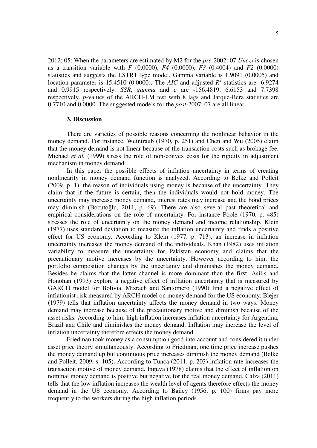2012: 05: When the parameters are estimated by M2 for the *pre*-2002: 07 *Unct-1* is chosen as a transition variable with *F* (0.0000), *F4* (0.0000), *F3* (0.4004) and *F2* (0.0000) statistics and suggests the LSTR1 type model. Gamma variable is 1.9091 (0.0005) and location parameter is 15.4510 (0.0000). The *AIC* and adjusted  $R^2$  statistics are -6.9274 and 0.9915 respectively. *SSR*, *gamma* and *c* are -156.4819, 6.6153 and 7.7398 respectively. *p*-values of the ARCH-LM test with 8 lags and Jarque-Bera statistics are 0.7710 and 0.0000. The suggested models for the *post*-2007: 07 are all linear.

#### **3. Discussion**

There are varieties of possible reasons concerning the nonlinear behavior in the money demand. For instance, Weintraub (1970, p. 251) and Chen and Wu (2005) claim that the money demand is not linear because of the transaction costs such as brokage fee. Michael *et al.* (1999) stress the role of non-convex costs for the rigidity in adjustment mechanism in money demand.

In this paper the possible effects of inflation uncertainty in terms of creating nonlinearity in money demand function is analyzed. According to Belke and Polleit (2009, p. 1), the reason of individuals using money is because of the uncertainty. They claim that if the future is certain, then the individuals would not hold money. The uncertainty may increase money demand, interest rates may increase and the bond prices may diminish (Bocutoğlu, 2011, p. 69). There are also several past theoretical and empirical considerations on the role of uncertainty. For instance Poole (1970, p. 485) stresses the role of uncertainty on the money demand and income relationship. Klein (1977) uses standard deviation to measure the inflation uncertainty and finds a positive effect for US economy. According to Klein (1977, p. 713), an increase in inflation uncertainty increases the money demand of the individuals. Khan (1982) uses inflation variability to measure the uncertainty for Pakistan economy and claims that the precautionary motive increases by the uncertainty. However according to him, the portfolio composition changes by the uncertainty and diminishes the money demand. Besides he claims that the latter channel is more dominant than the first. Asilis and Honohan (1993) explore a negative effect of inflation uncertainty that is measured by GARCH model for Bolivia. Mizrach and Santomero (1990) find a negative effect of inflationist risk measured by ARCH model on money demand for the US economy. Blejer (1979) tells that inflation uncertainty affects the money demand in two ways. Money demand may increase because of the precautionary motive and diminish because of the asset risks. According to him, high inflation increases inflation uncertainty for Argentina, Brazil and Chile and diminishes the money demand. Inflation may increase the level of inflation uncertainty therefore effects the money demand.

Friedman took money as a consumption good into account and considered it under asset price theory simultaneously. According to Friedman, one time price increase pushes the money demand up but continuous price increases diminish the money demand (Belke and Polleit, 2009, s. 105). According to Tunca (2011, p. 203) inflation rate increases the transaction motive of money demand. Inguva (1978) claims that the effect of inflation on nominal money demand is positive but negative for the real money demand. Calza (2011) tells that the low inflation increases the wealth level of agents therefore effects the money demand in the US economy. According to Bailey (1956, p. 100) firms pay more frequently to the workers during the high inflation periods.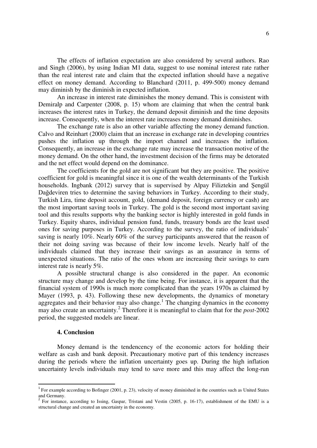The effects of inflation expectation are also considered by several authors. Rao and Singh (2006), by using Indian M1 data, suggest to use nominal interest rate rather than the real interest rate and claim that the expected inflation should have a negative effect on money demand. According to Blanchard (2011, p. 499-500) money demand may diminish by the diminish in expected inflation.

An increase in interest rate diminishes the money demand. This is consistent with Demiralp and Carpenter (2008, p. 15) whom are claiming that when the central bank increases the interest rates in Turkey, the demand deposit diminish and the time deposits increase. Consequently, when the interest rate increases money demand diminishes.

The exchange rate is also an other variable affecting the money demand function. Calvo and Reinhart (2000) claim that an increase in exchange rate in developing countries pushes the inflation up through the import channel and increases the inflation. Consequently, an increase in the exchange rate may increase the transaction motive of the money demand. On the other hand, the investment decision of the firms may be detorated and the net effect would depend on the dominance.

 The coefficients for the gold are not significant but they are positive. The positive coefficient for gold is meaningful since it is one of the wealth determinants of the Turkish households. Ingbank (2012) survey that is supervised by Alpay Filiztekin and Şengül Dağdeviren tries to determine the saving behaviors in Turkey. According to their study, Turkish Lira, time deposit account, gold, (demand deposit, foreign currency or cash) are the most important saving tools in Turkey. The gold is the second most important saving tool and this results supports why the banking sector is highly interested in gold funds in Turkey. Equity shares, individual pension fund, funds, treasury bonds are the least used ones for saving purposes in Turkey. According to the survey, the ratio of individuals' saving is nearly 10%. Nearly 60% of the survey participants answered that the reason of their not doing saving was because of their low income levels. Nearly half of the individuals claimed that they increase their savings as an assurance in terms of unexpected situations. The ratio of the ones whom are increasing their savings to earn interest rate is nearly 5%.

A possible structural change is also considered in the paper. An economic structure may change and develop by the time being. For instance, it is apparent that the financial system of 1990s is much more complicated than the years 1970s as claimed by Mayer (1993, p. 43). Following these new developments, the dynamics of monetary aggregates and their behavior may also change.<sup>1</sup> The changing dynamics in the economy may also create an uncertainty. 2 Therefore it is meaningful to claim that for the *post*-2002 period, the suggested models are linear.

#### **4. Conclusion**

 $\overline{a}$ 

Money demand is the tendencency of the economic actors for holding their welfare as cash and bank deposit. Precautionary motive part of this tendency increases during the periods where the inflation uncertainty goes up. During the high inflation uncertainty levels individuals may tend to save more and this may affect the long-run

 $1$  For example according to Bofinger (2001, p. 23), velocity of money diminished in the countries such as United States and Germany. 2

For instance, according to Issing, Gaspar, Tristani and Vestin (2005, p. 16-17), establishment of the EMU is a structural change and created an uncertainty in the economy.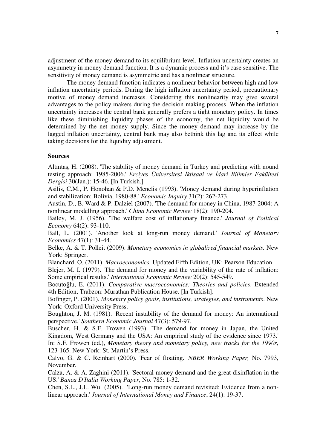adjustment of the money demand to its equilibrium level. Inflation uncertainty creates an asymmetry in money demand function. It is a dynamic process and it's case sensitive. The sensitivity of money demand is asymmetric and has a nonlinear structure.

The money demand function indicates a nonlinear behavior between high and low inflation uncertainty periods. During the high inflation uncertainty period, precautionary motive of money demand increases. Considering this nonlinearity may give several advantages to the policy makers during the decision making process. When the inflation uncertainty increases the central bank generally prefers a tight monetary policy. In times like these diminishing liquidity phases of the economy, the net liquidity would be determined by the net money supply. Since the money demand may increase by the lagged inflation uncertainty, central bank may also bethink this lag and its effect while taking decisions for the liquidity adjustment.

## **Sources**

Altıntaş, H. (2008). 'The stability of money demand in Turkey and predicting with nound testing approach: 1985-2006.' *Erciyes Üniversitesi İktisadi ve İdari Bilimler Fakültesi Dergisi* 30(Jan.): 15-46. [In Turkish.]

Asilis, C.M., P. Honohan & P.D. Mcnelis (1993). 'Money demand during hyperinflation and stabilization: Bolivia, 1980-88.' *Economic Inquiry* 31(2): 262-273.

Austin, D., B. Ward & P. Dalziel (2007). 'The demand for money in China, 1987-2004: A nonlinear modelling approach.' *China Economic Review* 18(2): 190-204.

Bailey, M. J. (1956). 'The welfare cost of inflationary finance.' *Journal of Political Economy* 64(2): 93-110.

Ball, L. (2001). 'Another look at long-run money demand.' *Journal of Monetary Economics* 47(1): 31-44.

Belke, A. & T. Polleit (2009). *Monetary economics in globalized financial markets.* New York: Springer.

Blanchard, O. (2011). *Macroeconomics.* Updated Fifth Edition, UK: Pearson Education.

Blejer, M. I. (1979). 'The demand for money and the variability of the rate of inflation: Some empirical results.' *International Economic Review* 20(2): 545-549.

Bocutoğlu, E. (2011). *Comparative macroeconomics: Theories and policies*. Extended 4th Edition, Trabzon: Murathan Publication House. [In Turkish].

Bofinger, P. (2001). *Monetary policy goals, institutions, strategies, and instruments*. New York: Oxford University Press.

Boughton, J. M. (1981). 'Recent instability of the demand for money: An international perspective.' *Southern Economic Journal* 47(3): 579-97.

Buscher, H. & S.F. Frowen (1993). 'The demand for money in Japan, the United Kingdom, West Germany and the USA: An empirical study of the evidence since 1973.' In: S.F. Frowen (ed.), *Monetary theory and monetary policy, new tracks for the 1990s*, 123-165. New York: St. Martin's Press.

Calvo, G. & C. Reinhart (2000). 'Fear of floating.' *NBER Working Paper,* No. 7993, November.

Calza, A. & A. Zaghini (2011). 'Sectoral money demand and the great disinflation in the US.' *Banca D'Italia Working Paper*, No. 785: 1-32.

Chen, S.L., J.L. Wu (2005). 'Long-run money demand revisited: Evidence from a nonlinear approach.' *Journal of International Money and Finance*, 24(1): 19-37.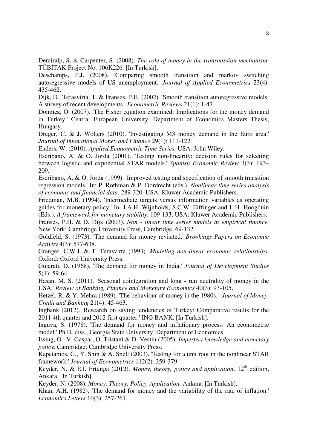Demiralp, S. & Carpenter, S. (2008). *The role of money in the transmission mechanism.*  TÜBİTAK Project No. 106K226. [In Turkish].

Deschamps, P.J. (2008). 'Comparing smooth transition and markov switching autoregressive models of US unemployment.' *Journal of Applied Econometrics* 23(4): 435-462.

Dijk, D., Terasvirta, T. & Franses, P.H. (2002). 'Smooth transition autoregressive models: A survey of recent developments.' *Econometric Reviews* 21(1): 1-47.

Dönmez, O. (2007). 'The Fisher equation examined: Implications for the money demand in Turkey.' Central European University, Department of Economics Masters Thesis, Hungary.

Dreger, C. & J. Wolters (2010). 'Investigating M3 money demand in the Euro area.' *Journal of Intenational Money and Finance* 29(1): 111-122.

Enders, W. (2010). *Applied Econometric Time Series.* USA: John Wiley.

Escribano, A. & O. Jorda (2001). 'Testing non-linearity: decision rules for selecting between logistic and exponential STAR models.' *Spanish Economic Review* 3(3): 193– 209.

Escribano, A. & O. Jorda (1999). 'Improved testing and specification of smooth transition regression models.' In: P. Rothman & P. Dordrecht (eds.), *Nonlinear time series analysis of economic and financial data*, 289-320. USA: Kluwer Academic Publishers.

Friedman, M.B. (1994). 'Intermediate targets versus information variables as operating guides for monetary policy.' In: J.A.H. Wijnholds, S.C.W. Eiffinger and L.H. Hoogduin (Eds.), *A framework for monetary stability*, 109-133. USA: Kluwer Academic Publishers.

Franses, P.H. & D. Dijk (2003). *Non - linear time series models in empirical finance.*  New York: Cambridge University Press, Cambridge, 69-132.

Goldfeld, S. (1973). 'The demand for money revisited.' *Brookings Papers on Economic Activity* 4(3): 577-638.

Granger, C.W.J. & T. Terasvirta (1993). *Modeling non-linear economic relationships.*  Oxford: Oxford University Press.

Gujarati, D. (1968). 'The demand for money in India.' *Journal of Development Studies*  5(1): 59-64.

Hasan, M. S. (2011). 'Seasonal cointegration and long - run neutrality of money in the USA.' *Review of Banking, Finance and Monetary Economics* 40(3): 93-105.

Hetzel, R. & Y. Mehra (1989). 'The behaviour of money in the 1980s.' *Journal of Money, Credit and Banking* 21(4): 45-463.

Ingbank (2012). 'Research on saving tendencies of Turkey: Comparative results for the 2011 4th quarter and 2012 first quarter.' ING BANK. [In Turkish].

Inguva, S. (1978). 'The demand for money and inflationary process: An econometric model.' Ph.D. diss., Georgia State University, Department of Economics.

Issing, O., V. Gaspar, O. Tristani & D. Vestin (2005). *Imperfect knowledge and monetary policy.* Cambridge: Cambridge University Press.

Kapetanios, G., Y. Shin & A. Snell (2003). 'Testing for a unit root in the nonlinear STAR framework.' *Journal of Econometrics* 112(2): 359-379.

Keyder, N. & E.I. Ertunga (2012). *Money, theory, policy and application*. 12<sup>th</sup> edition, Ankara. [In Turkish].

Keyder, N. (2008). *Money, Theory, Policy, Application,* Ankara. [In Turkish].

Khan, A.H. (1982). 'The demand for money and the variability of the rate of inflation.' *Economics Letters* 10(3): 257-261.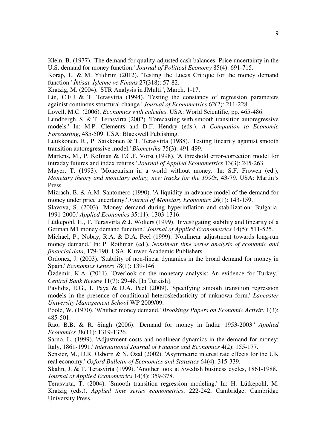Klein, B. (1977). 'The demand for quality-adjusted cash balances: Price uncertainty in the U.S. demand for money function.' *Journal of Political Economy* 85(4): 691-715.

Korap, L. & M. Yıldırım (2012). 'Testing the Lucas Critique for the money demand function.' *İktisat, İşletme ve Finans* 27(318): 57-82.

Kratzig, M. (2004). 'STR Analysis in JMulti.', March, 1-17.

Lin, C.F.J & T. Terasvirta (1994). 'Testing the constancy of regression parameters againist continous structural change.' *Journal of Econometrics* 62(2): 211-228.

Lovell, M.C. (2006). *Economics with calculus*. USA: World Scientific, pp. 465-486.

Lundbergh, S. & T. Terasvirta (2002). 'Forecasting with smooth transition autoregressive models.' In: M.P. Clements and D.F. Hendry (eds.), *A Companion to Economic Forecasting*, 485-509. USA: Blackwell Publishing.

Luukkonen, R., P. Saikkonen & T. Terasvirta (1988). 'Testing linearity againist smooth transition autoregressive model.' *Biometrika* 75(3): 491-499.

Martens, M., P. Kofman & T.C.F. Vorst (1998). 'A threshold error-correction model for intraday futures and index returns.' *Journal of Applied Econometrics* 13(3): 245-263.

Mayer, T. (1993). 'Monetarism in a world without money.' In: S.F. Frowen (ed.), *Monetary theory and monetary policy, new tracks for the 1990s,* 43-79. USA: Martin's Press.

Mizrach, B. & A.M. Santomero (1990). 'A liquidity in advance model of the demand for money under price uncertainy.' *Journal of Monetary Economics* 26(1): 143-159.

Slavova, S. (2003). 'Money demand during hyperinflation and stabilization: Bulgaria, 1991-2000.' *Applied Economics* 35(11): 1303-1316.

Lütkepohl, H., T. Terasvirta & J. Wolters (1999). 'Investigating stability and linearity of a German M1 money demand function.' *Journal of Applied Econometrics* 14(5): 511-525.

Michael, P., Nobay, R.A. & D.A. Peel (1999). 'Nonlinear adjustment towards long-run money demand.' In: P. Rothman (ed.), *Nonlinear time series analysis of economic and financial data*, 179-190. USA: Kluwer Academic Publishers.

Ordonez, J. (2003). 'Stability of non-linear dynamics in the broad demand for money in Spain.' *Economics Letters* 78(1): 139-146.

Özdemir, K.A. (2011). 'Overlook on the monetary analysis: An evidence for Turkey.' *Central Bank Review* 11(7): 29-48. [In Turkish].

Pavlidis, E.G., I. Paya & D.A. Peel (2009). 'Specifying smooth transition regression models in the presence of conditional heteroskedasticity of unknown form.' *Lancaster University Management School* WP 2009/09.

Poole, W. (1970). 'Whither money demand.' *Brookings Papers on Economic Activity* 1(3): 485-501.

Rao, B.B. & R. Singh (2006). 'Demand for money in India: 1953-2003.' *Applied Economics* 38(11): 1319-1326.

Sarno, L. (1999). 'Adjustment costs and nonlinear dynamics in the demand for money: Italy, 1861-1991.' *International Journal of Finance and Economics* 4(2): 155-177.

Sensier, M., D.R. Osborn & N. Özal (2002). 'Asymmetric interest rate effects for the UK real economy.' *Oxford Bulletin of Economics and Statistics* 64(4): 315-339.

Skalin, J. & T. Terasvirta (1999). 'Another look at Swedish business cycles, 1861-1988.' *Journal of Applied Econometrics* 14(4): 359-378.

Terasvirta, T. (2004). 'Smooth transition regression modeling.' In: H. Lütkepohl, M. Kratzig (eds.), *Applied time series econometrics*, 222-242, Cambridge: Cambridge University Press.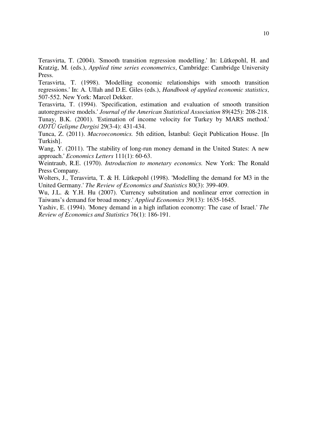Terasvirta, T. (2004). 'Smooth transition regression modelling.' In: Lütkepohl, H. and Kratzig, M. (eds.), *Applied time series econometrics*, Cambridge: Cambridge University Press.

Terasvirta, T. (1998). 'Modelling economic relationships with smooth transition regressions.' In: A. Ullah and D.E. Giles (eds.), *Handbook of applied economic statistics*, 507-552. New York: Marcel Dekker.

Terasvirta, T. (1994). 'Specification, estimation and evaluation of smooth transition autoregressive models.' *Journal of the American Statistical Association* 89(425): 208-218. Tunay, B.K. (2001). 'Estimation of income velocity for Turkey by MARS method.' *ODTÜ Gelişme Dergisi* 29(3-4): 431-434.

Tunca, Z. (2011). *Macroeconomics.* 5th edition, İstanbul: Geçit Publication House. [In Turkish].

Wang, Y. (2011). 'The stability of long-run money demand in the United States: A new approach.' *Economics Letters* 111(1): 60-63.

Weintraub, R.E. (1970). *Introduction to monetary economics.* New York: The Ronald Press Company.

Wolters, J., Terasvirta, T. & H. Lütkepohl (1998). 'Modelling the demand for M3 in the United Germany.' *The Review of Economics and Statistics* 80(3): 399-409.

Wu, J.L. & Y.H. Hu (2007). 'Currency substitution and nonlinear error correction in Taiwans's demand for broad money.' *Applied Economics* 39(13): 1635-1645.

Yashiv, E. (1994). 'Money demand in a high inflation economy: The case of Israel.' *The Review of Economics and Statistics* 76(1): 186-191.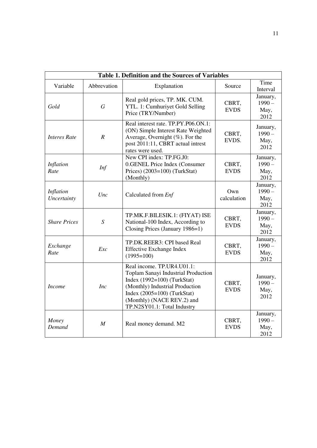| <b>Table 1. Definition and the Sources of Variables</b> |                  |                                                                                                                                                                                                                                     |                      |                                      |  |  |  |  |  |  |  |
|---------------------------------------------------------|------------------|-------------------------------------------------------------------------------------------------------------------------------------------------------------------------------------------------------------------------------------|----------------------|--------------------------------------|--|--|--|--|--|--|--|
| Variable                                                | Abbrevation      | Explanation<br>Source                                                                                                                                                                                                               |                      | Time<br>Interval                     |  |  |  |  |  |  |  |
| Gold                                                    | $\boldsymbol{G}$ | Real gold prices, TP. MK. CUM.<br>YTL. 1: Cumhuriyet Gold Selling<br>Price (TRY/Number)                                                                                                                                             | CBRT,<br><b>EVDS</b> | January,<br>$1990 -$<br>May,<br>2012 |  |  |  |  |  |  |  |
| <b>Interes Rate</b>                                     | $\boldsymbol{R}$ | Real interest rate. TP.PY.P06.ON.1:<br>(ON) Simple Interest Rate Weighted<br>Average, Overnight $(\% )$ . For the<br>post 2011:11, CBRT actual intrest<br>rates were used.                                                          | CBRT,<br>EVDS.       | January,<br>$1990 -$<br>May,<br>2012 |  |  |  |  |  |  |  |
| Inflation<br>Rate                                       | <b>Inf</b>       | New CPI index: TP.FG.J0:<br>0.GENEL Price Index (Consumer<br>Prices) (2003=100) (TurkStat)<br>(Monthly)                                                                                                                             | CBRT,<br><b>EVDS</b> | January,<br>$1990 -$<br>May,<br>2012 |  |  |  |  |  |  |  |
| Inflation<br>Uncertainty                                | Unc              | Calculated from Enf                                                                                                                                                                                                                 | Own<br>calculation   | January,<br>$1990 -$<br>May,<br>2012 |  |  |  |  |  |  |  |
| <b>Share Prices</b>                                     | $\overline{S}$   | TP.MK.F.BILESIK.1: (FIYAT) ISE<br>National-100 Index, According to<br>Closing Prices (January 1986=1)                                                                                                                               | CBRT,<br><b>EVDS</b> | January,<br>$1990 -$<br>May,<br>2012 |  |  |  |  |  |  |  |
| Exchange<br>Rate                                        | Exc              | TP.DK.REER3: CPI based Real<br><b>Effective Exchange Index</b><br>$(1995=100)$                                                                                                                                                      | CBRT,<br><b>EVDS</b> | January,<br>$1990 -$<br>May,<br>2012 |  |  |  |  |  |  |  |
| <i>Income</i>                                           | <i>Inc</i>       | Real income. TP.UR4.U01.1:<br>Toplam Sanayi Industrial Production<br>Index $(1992=100)$ (TurkStat)<br>(Monthly) Industrial Production<br>Index $(2005=100)$ (TurkStat)<br>(Monthly) (NACE REV.2) and<br>TP.N2SY01.1: Total Industry | CBRT,<br><b>EVDS</b> | January,<br>$1990 -$<br>May,<br>2012 |  |  |  |  |  |  |  |
| Money<br>Demand                                         | $\overline{M}$   | Real money demand. M2                                                                                                                                                                                                               | CBRT,<br><b>EVDS</b> | January,<br>$1990 -$<br>May,<br>2012 |  |  |  |  |  |  |  |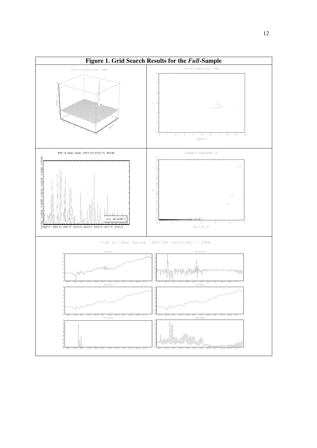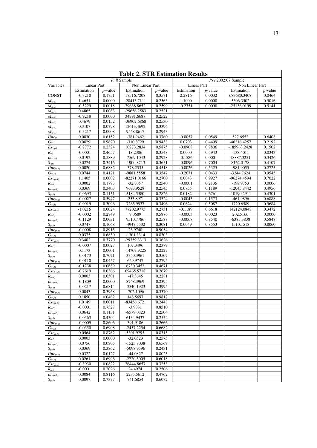| <b>Table 2. STR Estimation Results</b>   |                  |                  |                            |                  |                     |                    |                         |                  |  |  |  |
|------------------------------------------|------------------|------------------|----------------------------|------------------|---------------------|--------------------|-------------------------|------------------|--|--|--|
| <b>Full Sample</b><br>Pre 2002:07 Sample |                  |                  |                            |                  |                     |                    |                         |                  |  |  |  |
| Variables                                |                  | Linear Part      |                            | Non Linear Part  |                     | <b>Linear Part</b> |                         | Non Linear Part  |  |  |  |
|                                          | Estimation       | $p$ -value       | Estimation                 | $p$ -value       | Estimation          | $p$ -value         | Estimation              | $p$ -value       |  |  |  |
| <b>CONST</b>                             | $-0.3210$        | 0.1751           | 17516.7208                 | 0.3571           | 2.2816              | 0.0032             | 683680.3408             | 0.0464           |  |  |  |
| $M_{(t-1)}$                              | 1.4651           | 0.0000           | -28413.7111                | 0.2563           | 1.1000              | 0.0000             | 5306.3502               | 0.9016           |  |  |  |
| $M_{(t-2)}$                              | $-0.5229$        | 0.0018           | 39638.8652                 | 0.2599           | $-0.2351$           | 0.0090             | -25136.0199             | 0.5141           |  |  |  |
| $M_{(t-3)}$                              | 0.4865           | 0.0083           | -29656.2583                | 0.2521           |                     |                    |                         |                  |  |  |  |
| $M_{(t-4)}$                              | $-0.9218$        | 0.0000           | 34791.6687                 | 0.2522           |                     |                    |                         |                  |  |  |  |
| $M_{(t-5)}$                              | 0.4679           | 0.0152           | -36902.6868                | 0.2530           |                     |                    |                         |                  |  |  |  |
| $M_{(t-6)}$                              | 0.3107           | 0.0798           | 12613.4692                 | 0.3396           |                     |                    |                         |                  |  |  |  |
| $M_{(t-7)}$                              | $-0.3217$        | 0.0008<br>0.6152 | 9458.8617                  | 0.2943           |                     |                    |                         |                  |  |  |  |
| $Unc_{(t)}$                              | 0.0030<br>0.0029 | 0.9620           | -381.9462<br>-310.8729     | 0.3760<br>0.9438 | $-0.0057$<br>0.0703 | 0.0549<br>0.4499   | 527.6552<br>-46216.4257 | 0.6408<br>0.2192 |  |  |  |
| $\overline{G_{(t)}}$<br>$Exc_{(t)}$      | $-0.2772$        | 0.2324           | 10273.2834                 | 0.5875           | $-0.0908$           | 0.7806             | -185963.2428            | 0.1502           |  |  |  |
| $R_{(t)}$                                | $-0.0001$        | 0.4657           | 18.2306                    | 0.3548           | 0.0000              | 0.5943             | $-138.4011$             | 0.0343           |  |  |  |
| Inc $(t)$                                | 0.0192           | 0.5889           | -7569.1043                 | 0.2928           | $-0.1586$           | 0.0001             | 18887.3251              | 0.3426           |  |  |  |
| $S_{(t)}$                                | 0.0274           | 0.3416           | -1900.8713                 | 0.3651           | $-0.0096$           | 0.7004             | 8162.0178               | 0.4107           |  |  |  |
| $Unc_{(t-1)}$                            | 0.0020           | 0.6882           | 378.2535                   | 0.4518           | $-0.0026$           | 0.5325             | -981.9055               | 0.2725           |  |  |  |
| $\overline{G_{(t-1)}}$                   | 0.0744           | 0.4121           | -9881.5558                 | 0.3547           | $-0.2671$           | 0.0433             | $-3244.7624$            | 0.9545           |  |  |  |
| $Exc_{(t-1)}$                            | 1.1405           | 0.0002           | $-82271.0166$              | 0.2700           | 0.0043              | 0.9927             | -96274.4594             | 0.7022           |  |  |  |
| $R_{(t-1)}$                              | 0.0002           | 0.1793           | $-32.8057$                 | 0.2540           | $-0.0001$           | 0.2135             | -198.9753               | 0.0006           |  |  |  |
| $Inc_{(t-1)}$                            | 0.0369           | 0.3403           | 9693.9528                  | 0.2545           | 0.0755              | 0.1189             | $-12045.8442$           | 0.4956           |  |  |  |
| $\overline{S}_{(t-1)}$                   | $-0.0693$        | 0.1151           | 5184.5580                  | 0.2826           | 0.0182              | 0.6761             | $-10190.2911$           | 0.4301           |  |  |  |
| $Unc_{(t-2)}$                            | $-0.0027$        | 0.5947           | $-253.8971$                | 0.3324           | $-0.0043$           | 0.1573             | -461.9896               | 0.6888           |  |  |  |
| $\overline{G}_{(t-2)}$                   | $-0.0919$        | 0.3096           | 7265.9937                  | 0.3496           | 0.0624              | 0.5087             | 1720.6589               | 0.9684           |  |  |  |
| $Exc_{(t-2)}$                            | $-1.0215$        | 0.0024           | 77202.9775                 | 0.2731           | $-0.1189$           | 0.6618             | 142124.0848             | 0.3472           |  |  |  |
| $R_{(t-2)}$                              | $-0.0002$        | 0.2849           | 9.0689                     | 0.5876           | $-0.0003$           | 0.0023             | 202.5166                | 0.0000           |  |  |  |
| $Inc_{(t-2)}$                            | $-0.1129$        | 0.0031           | 9510.7786                  | 0.2588           | $-0.0068$           | 0.8540             | -6385.3838              | 0.5848           |  |  |  |
| $S_{(t-2)}$                              | 0.0747           | 0.1068           | -4947.5532                 | 0.3081           | 0.0049              | 0.8553             | 1510.1518               | 0.8060           |  |  |  |
| $Unc_{(t-3)}$                            | $-0.0008$        | 0.8915           | 23.9740                    | 0.9054           |                     |                    |                         |                  |  |  |  |
| $G_{(t-3)}$                              | 0.0375           | 0.6830           | -1301.3314                 | 0.8303           |                     |                    |                         |                  |  |  |  |
| $Exc_{(t-3)}$                            | 0.3402           | 0.3770           | -29359.3313                | 0.3626           |                     |                    |                         |                  |  |  |  |
| $R_{(t-3)}$                              | $-0.0007$        | 0.0027           | 107.3496                   | 0.2379           |                     |                    |                         |                  |  |  |  |
| $Inc_{(t-3)}$                            | 0.1173           | 0.0001           | -14707.9225                | 0.2227           |                     |                    |                         |                  |  |  |  |
| $S_{(t-3)}$                              | $-0.0173$        | 0.7021           | 3350.3961                  | 0.3507           |                     |                    |                         |                  |  |  |  |
| $Unc_{(t-4)}$                            | $-0.0110$        | 0.0457           | 659.9747                   | 0.2795           |                     |                    |                         |                  |  |  |  |
| $G_{(t-4)}$                              | $-0.1738$        | 0.0689           | 6730.3452                  | 0.4671           |                     |                    |                         |                  |  |  |  |
| $Exc({}_{t=4)}$                          | $-0.7619$        | 0.0366           | 69465.5718                 | 0.2679           |                     |                    |                         |                  |  |  |  |
| $R_{(t-4)}$                              | 0.0003           | 0.0501           | $-47.3645$                 | 0.2281           |                     |                    |                         |                  |  |  |  |
| $Inc_{(t-4)}$                            | $-0.1809$        | 0.0000           | 8748.3969                  | 0.2395           |                     |                    |                         |                  |  |  |  |
| $S_{(t-4)}$                              | $-0.0217$        | 0.6814           | $-3540.1923$               | 0.3995           |                     |                    |                         |                  |  |  |  |
| $Unc_{(t-5)}$                            | 0.0043           | 0.3968           | $-702.1096$                | 0.3370           |                     |                    |                         |                  |  |  |  |
| $G_{(t-5)}$                              | 0.1850           | 0.0462           | 148.5697                   | 0.9812           |                     |                    |                         |                  |  |  |  |
| $Exc_{(t-5)}$                            | 1.0149           | 0.0011           | $-83456.6721$              | 0.2448           |                     |                    |                         |                  |  |  |  |
| $R_{(t-5)}$                              | $-0.0001$        | 0.7327           | $-3.9831$                  | 0.8510           |                     |                    |                         |                  |  |  |  |
| $Inc_{(t-5)}$                            | 0.0642           | 0.1131           | $-6579.0823$               | 0.2504           |                     |                    |                         |                  |  |  |  |
| $S_{(t-5)}$                              | $-0.0363$        | 0.4304           | 6134.9437                  | 0.2554           |                     |                    |                         |                  |  |  |  |
| $Unc_{(t-6)}$                            | $-0.0009$        | 0.8606           | 391.9186                   | 0.2666           |                     |                    |                         |                  |  |  |  |
| $G_{(t-6)}$                              | $-0.0350$        | 0.6908           | $-2457.2254$               | 0.6682           |                     |                    |                         |                  |  |  |  |
| $Exc_{(t-6)}$                            | 0.0564           | 0.8762           | 5301.9295                  | 0.8315           |                     |                    |                         |                  |  |  |  |
| $R_{(t-6)}$                              | 0.0003<br>0.0756 | 0.0000<br>0.0805 | $-32.0523$<br>$-1525.8038$ | 0.2575<br>0.6569 |                     |                    |                         |                  |  |  |  |
| $Inc_{(t-6)}$                            | 0.0369           | 0.3862           | -5098.9596                 | 0.2431           |                     |                    |                         |                  |  |  |  |
| $S_{(t-6)}$<br>$\overline{U}nc_{(t-7)}$  | 0.0322           | 0.0127           | -44.0827                   | 0.8025           |                     |                    |                         |                  |  |  |  |
| $G_{(t-7)}$                              | 0.0261           | 0.6996           | $-2720.5005$               | 0.6018           |                     |                    |                         |                  |  |  |  |
| $Exc_{(t-7)}$                            | $-0.3930$        | 0.0822           | 26444.8657                 | 0.3253           |                     |                    |                         |                  |  |  |  |
| $R_{(t-7)}$                              | $-0.0001$        | 0.2026           | 24.4974                    | 0.2506           |                     |                    |                         |                  |  |  |  |
| $Inc_{(t-7)}$                            | 0.0084           | 0.8116           | 2235.5612                  | 0.4762           |                     |                    |                         |                  |  |  |  |
| $S_{(t-7)}$                              | 0.0097           | 0.7377           | 741.6854                   | 0.6072           |                     |                    |                         |                  |  |  |  |
|                                          |                  |                  |                            |                  |                     |                    |                         |                  |  |  |  |